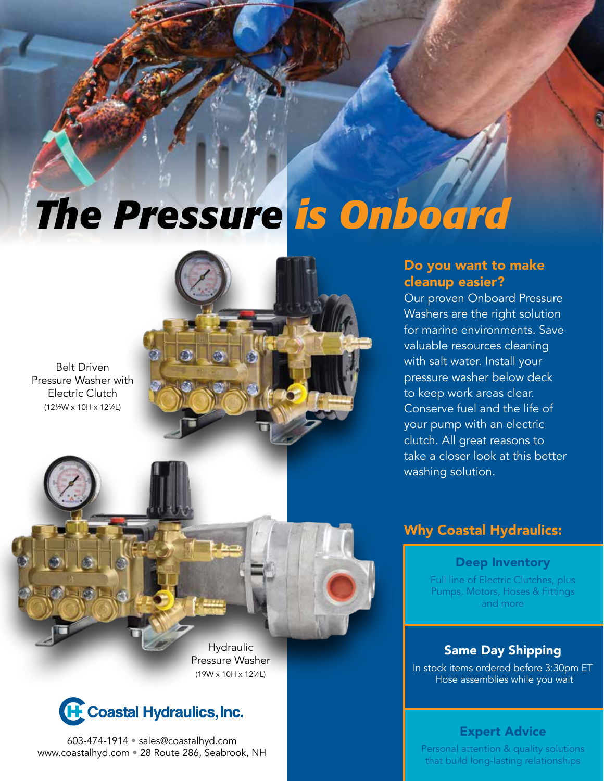# *The Pressure is Onboard*

Belt Driven Pressure Washer with Electric Clutch (121 ⁄2W x 10H x 121 ⁄2L)

### Do you want to make cleanup easier?

Our proven Onboard Pressure Washers are the right solution for marine environments. Save valuable resources cleaning with salt water. Install your pressure washer below deck to keep work areas clear. Conserve fuel and the life of your pump with an electric clutch. All great reasons to take a closer look at this better washing solution.



**Hydraulic** Pressure Washer (19W x 10H x 121 ⁄2L)



603-474-1914 • sales@coastalhyd.com www.coastalhyd.com • 28 Route 286, Seabrook, NH

## Why Coastal Hydraulics:

Deep Inventory

Full line of Electric Clutches, plus Pumps, Motors, Hoses & Fittings and more

### Same Day Shipping

In stock items ordered before 3:30pm ET Hose assemblies while you wait

### Expert Advice

Personal attention & quality solutions that build long-lasting relationships